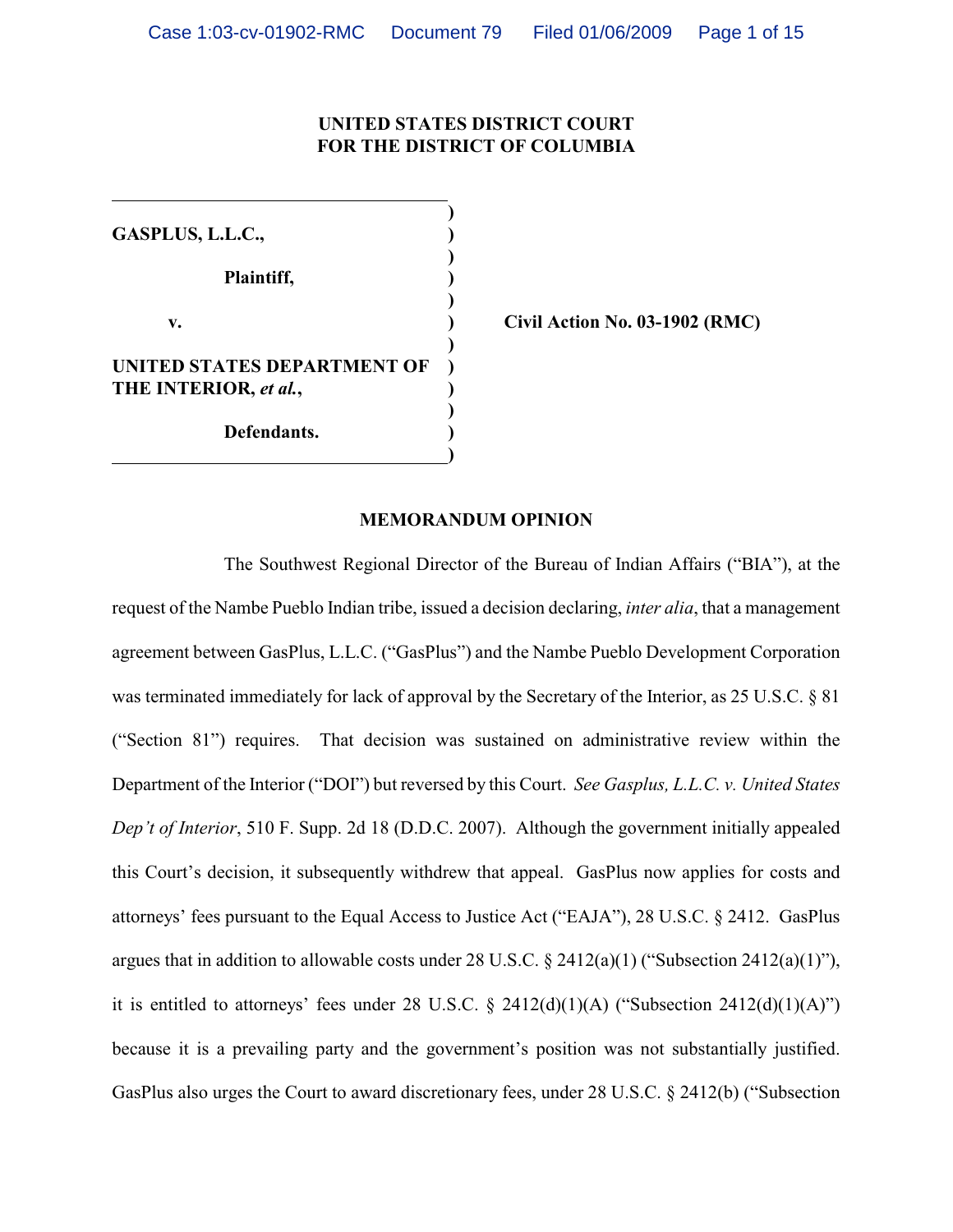## **UNITED STATES DISTRICT COURT FOR THE DISTRICT OF COLUMBIA**

**) GASPLUS, L.L.C., ) ) Plaintiff, ) ) v. ) Civil Action No. 03-1902 (RMC) ) UNITED STATES DEPARTMENT OF THE INTERIOR,** *et al.***, ) ) ) Defendants. ) )**

#### **MEMORANDUM OPINION**

The Southwest Regional Director of the Bureau of Indian Affairs ("BIA"), at the request of the Nambe Pueblo Indian tribe, issued a decision declaring, *inter alia*, that a management agreement between GasPlus, L.L.C. ("GasPlus") and the Nambe Pueblo Development Corporation was terminated immediately for lack of approval by the Secretary of the Interior, as 25 U.S.C. § 81 ("Section 81") requires. That decision was sustained on administrative review within the Department of the Interior ("DOI") but reversed by this Court. *See Gasplus, L.L.C. v. United States Dep't of Interior*, 510 F. Supp. 2d 18 (D.D.C. 2007). Although the government initially appealed this Court's decision, it subsequently withdrew that appeal. GasPlus now applies for costs and attorneys' fees pursuant to the Equal Access to Justice Act ("EAJA"), 28 U.S.C. § 2412. GasPlus argues that in addition to allowable costs under 28 U.S.C. § 2412(a)(1) ("Subsection 2412(a)(1)"), it is entitled to attorneys' fees under 28 U.S.C.  $\S$  2412(d)(1)(A) ("Subsection 2412(d)(1)(A)") because it is a prevailing party and the government's position was not substantially justified. GasPlus also urges the Court to award discretionary fees, under 28 U.S.C. § 2412(b) ("Subsection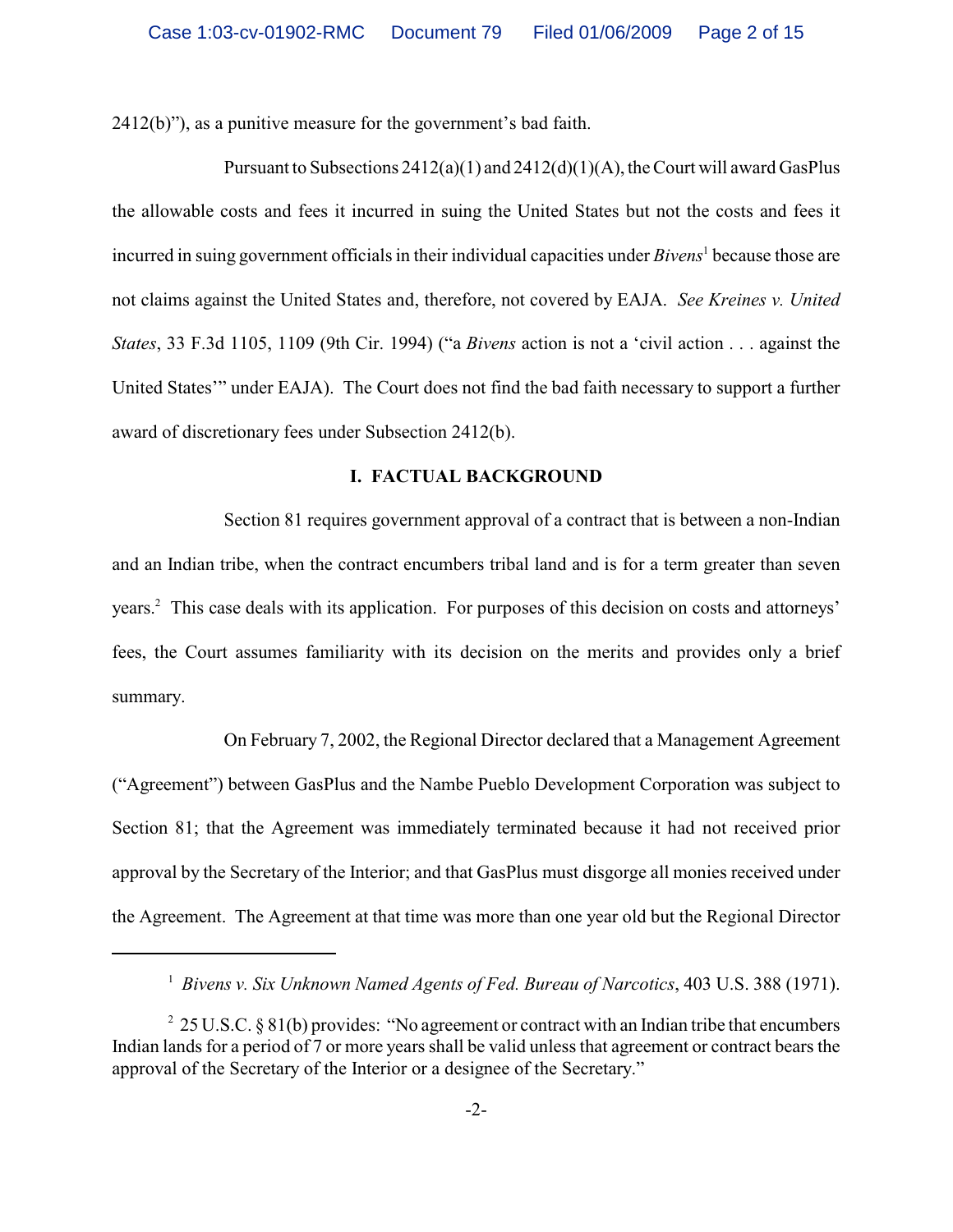2412(b)"), as a punitive measure for the government's bad faith.

Pursuant to Subsections  $2412(a)(1)$  and  $2412(d)(1)(A)$ , the Court will award GasPlus the allowable costs and fees it incurred in suing the United States but not the costs and fees it incurred in suing government officials in their individual capacities under *Bivens*<sup>1</sup> because those are not claims against the United States and, therefore, not covered by EAJA. *See Kreines v. United States*, 33 F.3d 1105, 1109 (9th Cir. 1994) ("a *Bivens* action is not a 'civil action . . . against the United States'" under EAJA). The Court does not find the bad faith necessary to support a further award of discretionary fees under Subsection 2412(b).

#### **I. FACTUAL BACKGROUND**

Section 81 requires government approval of a contract that is between a non-Indian and an Indian tribe, when the contract encumbers tribal land and is for a term greater than seven years.<sup>2</sup> This case deals with its application. For purposes of this decision on costs and attorneys' fees, the Court assumes familiarity with its decision on the merits and provides only a brief summary.

On February 7, 2002, the Regional Director declared that a Management Agreement ("Agreement") between GasPlus and the Nambe Pueblo Development Corporation was subject to Section 81; that the Agreement was immediately terminated because it had not received prior approval by the Secretary of the Interior; and that GasPlus must disgorge all monies received under the Agreement. The Agreement at that time was more than one year old but the Regional Director

<sup>&</sup>lt;sup>1</sup> Bivens v. Six Unknown Named Agents of Fed. Bureau of Narcotics, 403 U.S. 388 (1971).

<sup>&</sup>lt;sup>2</sup> 25 U.S.C. § 81(b) provides: "No agreement or contract with an Indian tribe that encumbers Indian lands for a period of 7 or more years shall be valid unless that agreement or contract bears the approval of the Secretary of the Interior or a designee of the Secretary."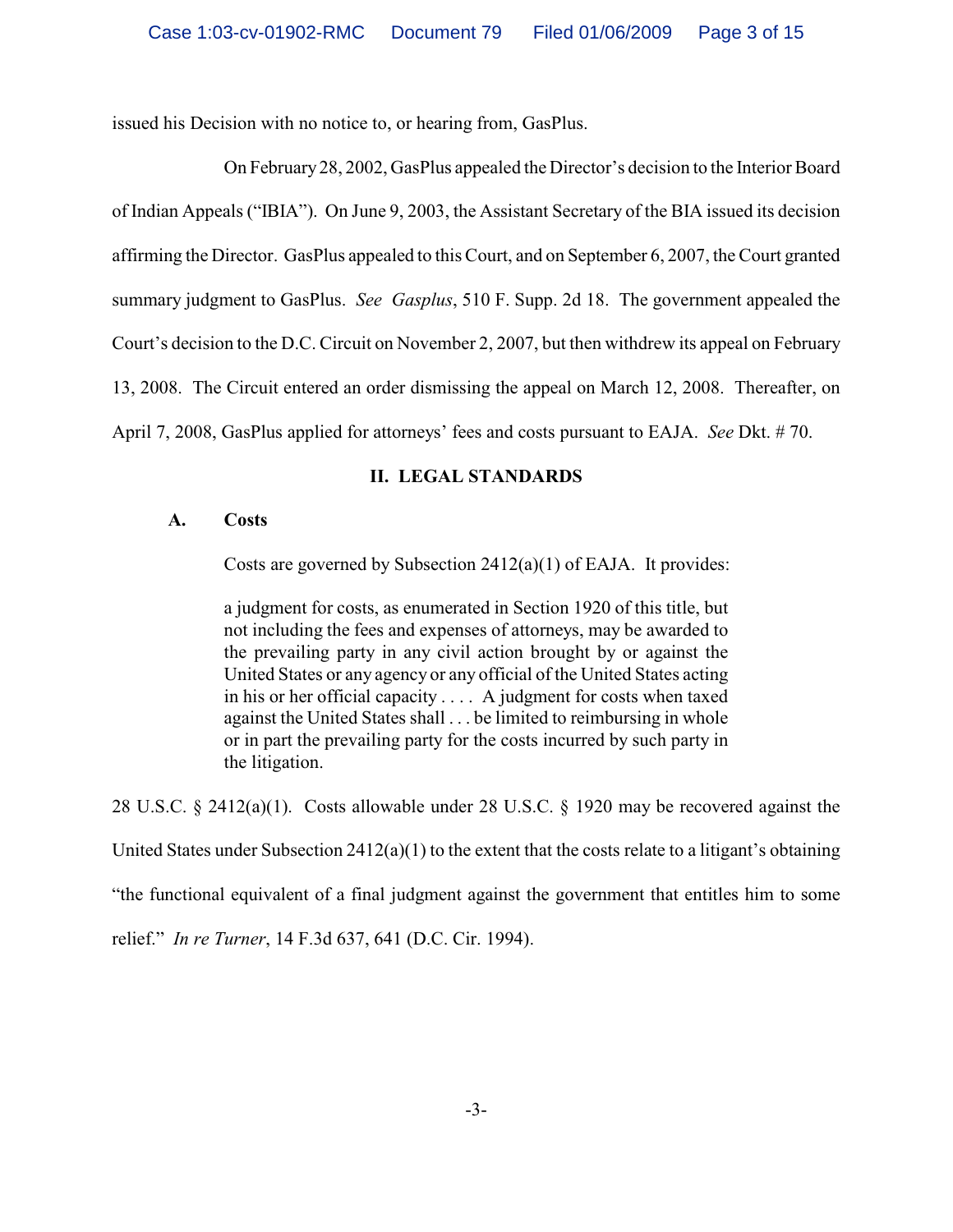issued his Decision with no notice to, or hearing from, GasPlus.

On February 28, 2002, GasPlus appealed the Director's decision to the Interior Board of Indian Appeals ("IBIA"). On June 9, 2003, the Assistant Secretary of the BIA issued its decision affirming the Director. GasPlus appealed to this Court, and on September 6, 2007, the Court granted summary judgment to GasPlus. *See Gasplus*, 510 F. Supp. 2d 18. The government appealed the Court's decision to the D.C. Circuit on November 2, 2007, but then withdrew its appeal on February 13, 2008. The Circuit entered an order dismissing the appeal on March 12, 2008. Thereafter, on April 7, 2008, GasPlus applied for attorneys' fees and costs pursuant to EAJA. *See* Dkt. # 70.

# **II. LEGAL STANDARDS**

## **A. Costs**

Costs are governed by Subsection 2412(a)(1) of EAJA. It provides:

a judgment for costs, as enumerated in Section 1920 of this title, but not including the fees and expenses of attorneys, may be awarded to the prevailing party in any civil action brought by or against the United States or any agency or any official of the United States acting in his or her official capacity . . . . A judgment for costs when taxed against the United States shall . . . be limited to reimbursing in whole or in part the prevailing party for the costs incurred by such party in the litigation.

28 U.S.C. § 2412(a)(1). Costs allowable under 28 U.S.C. § 1920 may be recovered against the United States under Subsection  $2412(a)(1)$  to the extent that the costs relate to a litigant's obtaining "the functional equivalent of a final judgment against the government that entitles him to some relief." *In re Turner*, 14 F.3d 637, 641 (D.C. Cir. 1994).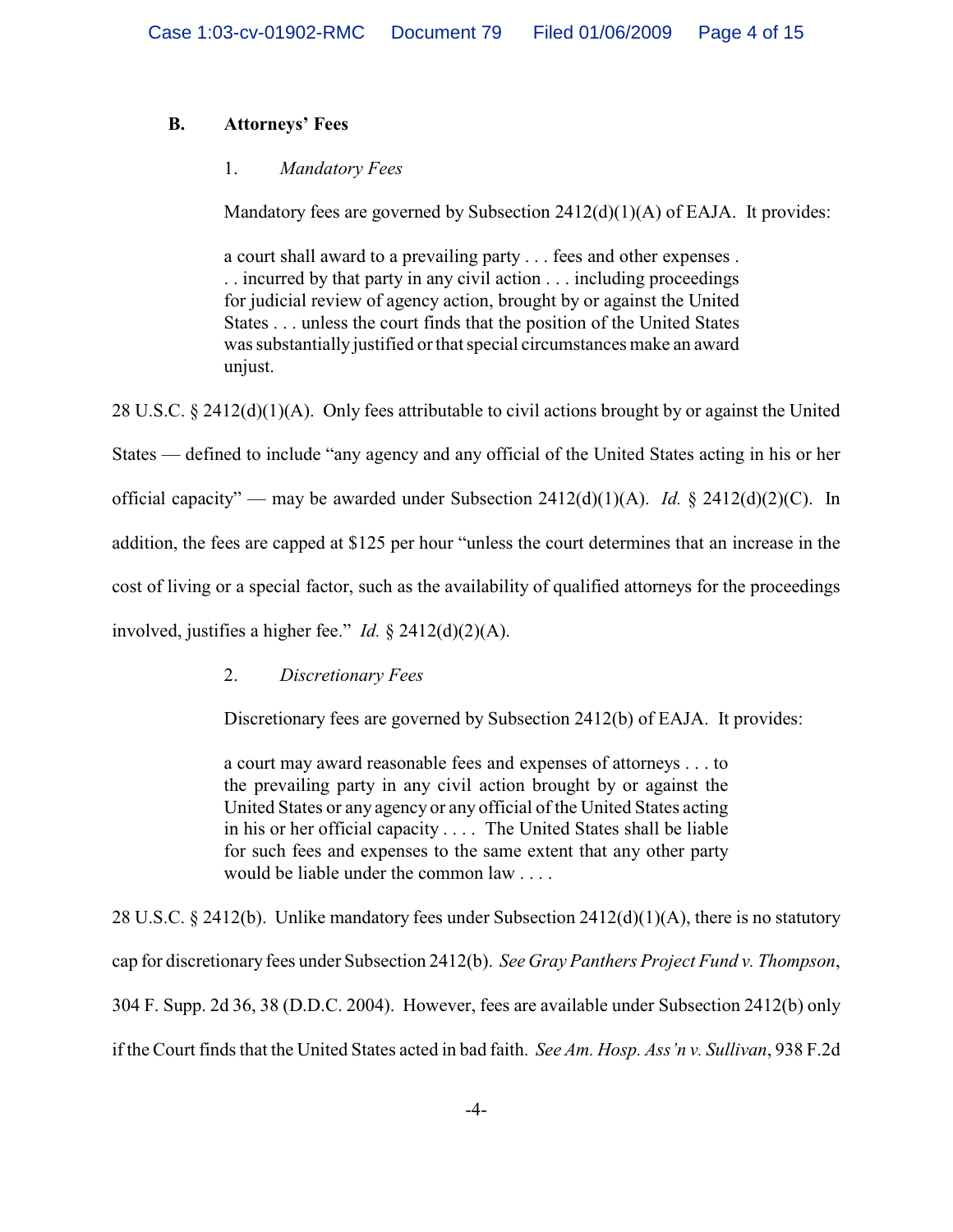# **B. Attorneys' Fees**

# 1. *Mandatory Fees*

Mandatory fees are governed by Subsection 2412(d)(1)(A) of EAJA. It provides:

a court shall award to a prevailing party . . . fees and other expenses . . . incurred by that party in any civil action . . . including proceedings for judicial review of agency action, brought by or against the United States . . . unless the court finds that the position of the United States was substantially justified or that special circumstances make an award unjust.

28 U.S.C. § 2412(d)(1)(A). Only fees attributable to civil actions brought by or against the United States — defined to include "any agency and any official of the United States acting in his or her official capacity" — may be awarded under Subsection 2412(d)(1)(A). *Id.* § 2412(d)(2)(C). In addition, the fees are capped at \$125 per hour "unless the court determines that an increase in the cost of living or a special factor, such as the availability of qualified attorneys for the proceedings involved, justifies a higher fee." *Id.* § 2412(d)(2)(A).

## 2. *Discretionary Fees*

Discretionary fees are governed by Subsection 2412(b) of EAJA. It provides:

a court may award reasonable fees and expenses of attorneys . . . to the prevailing party in any civil action brought by or against the United States or any agency or any official of the United States acting in his or her official capacity . . . . The United States shall be liable for such fees and expenses to the same extent that any other party would be liable under the common law . . . .

28 U.S.C. § 2412(b). Unlike mandatory fees under Subsection 2412(d)(1)(A), there is no statutory cap for discretionary fees under Subsection 2412(b). *See Gray Panthers Project Fund v. Thompson*, 304 F. Supp. 2d 36, 38 (D.D.C. 2004). However, fees are available under Subsection 2412(b) only if the Court finds that the United States acted in bad faith. *See Am. Hosp. Ass'n v. Sullivan*, 938 F.2d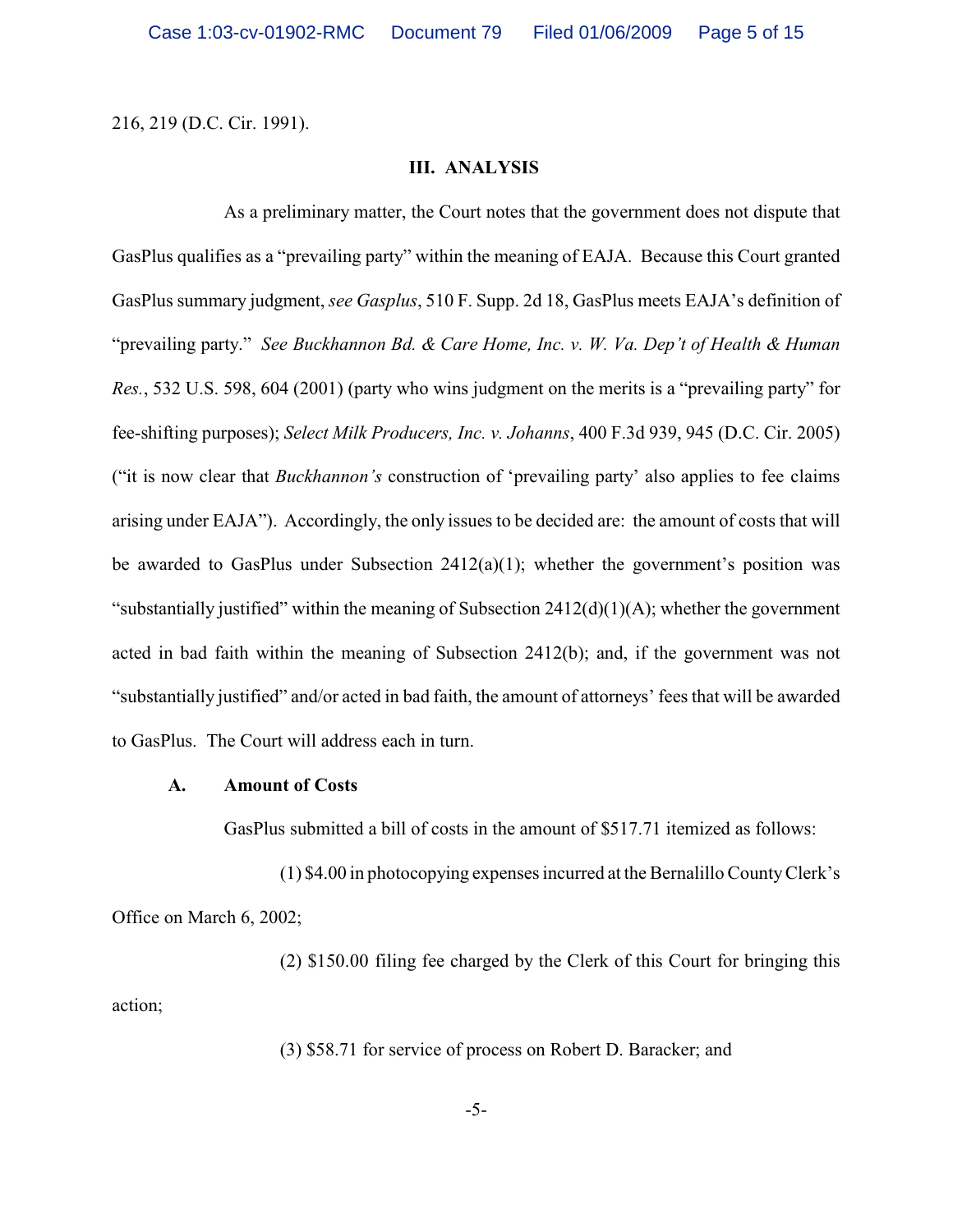216, 219 (D.C. Cir. 1991).

### **III. ANALYSIS**

As a preliminary matter, the Court notes that the government does not dispute that GasPlus qualifies as a "prevailing party" within the meaning of EAJA. Because this Court granted GasPlus summary judgment, *see Gasplus*, 510 F. Supp. 2d 18, GasPlus meets EAJA's definition of "prevailing party." *See Buckhannon Bd. & Care Home, Inc. v. W. Va. Dep't of Health & Human Res.*, 532 U.S. 598, 604 (2001) (party who wins judgment on the merits is a "prevailing party" for fee-shifting purposes); *Select Milk Producers, Inc. v. Johanns*, 400 F.3d 939, 945 (D.C. Cir. 2005) ("it is now clear that *Buckhannon's* construction of 'prevailing party' also applies to fee claims arising under EAJA"). Accordingly, the only issues to be decided are: the amount of costs that will be awarded to GasPlus under Subsection 2412(a)(1); whether the government's position was "substantially justified" within the meaning of Subsection 2412(d)(1)(A); whether the government acted in bad faith within the meaning of Subsection 2412(b); and, if the government was not "substantially justified" and/or acted in bad faith, the amount of attorneys' fees that will be awarded to GasPlus. The Court will address each in turn.

#### **A. Amount of Costs**

GasPlus submitted a bill of costs in the amount of \$517.71 itemized as follows:

(1) \$4.00 in photocopying expenses incurred at the Bernalillo County Clerk's Office on March 6, 2002;

(2) \$150.00 filing fee charged by the Clerk of this Court for bringing this action;

(3) \$58.71 for service of process on Robert D. Baracker; and

-5-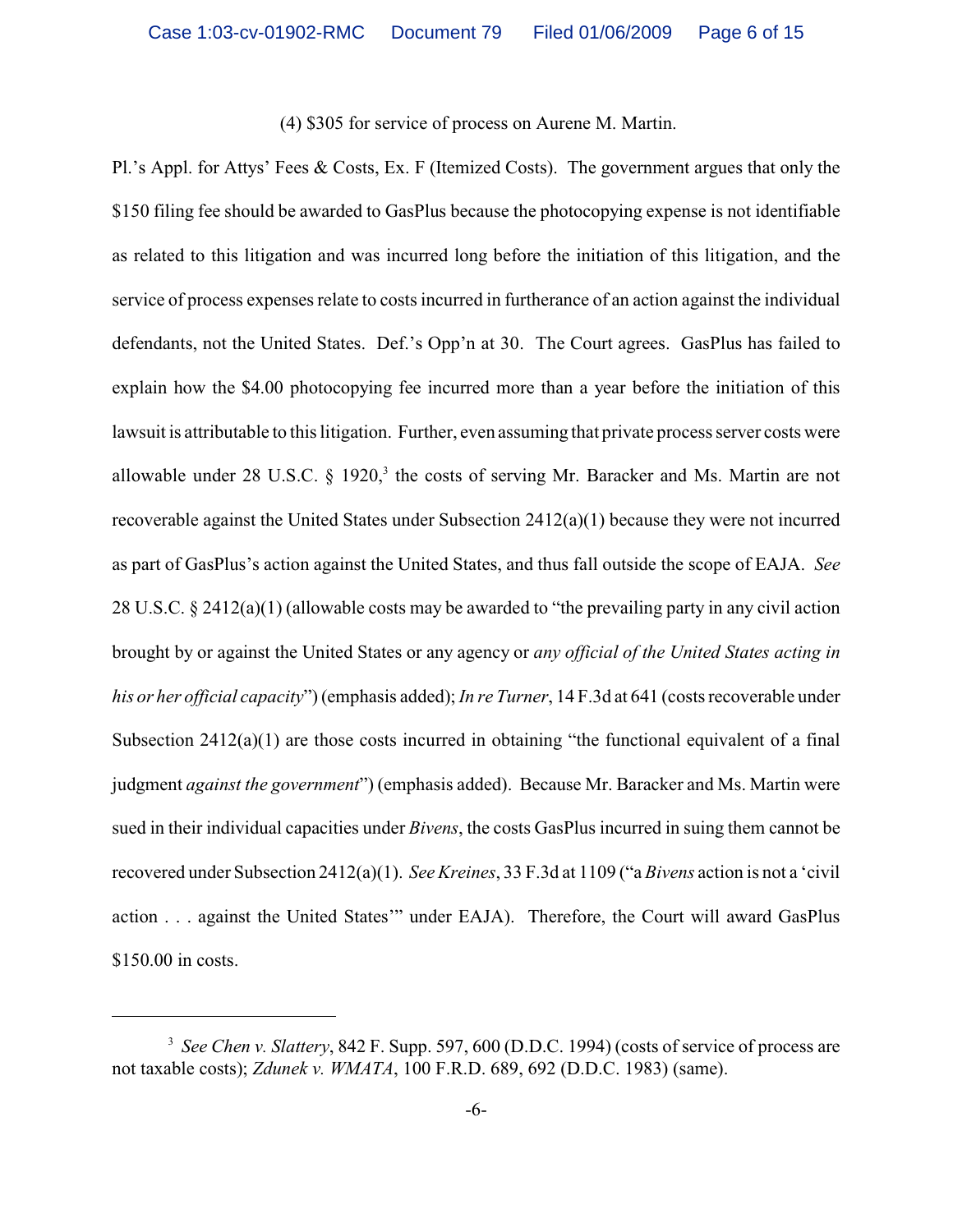## (4) \$305 for service of process on Aurene M. Martin.

Pl.'s Appl. for Attys' Fees & Costs, Ex. F (Itemized Costs). The government argues that only the \$150 filing fee should be awarded to GasPlus because the photocopying expense is not identifiable as related to this litigation and was incurred long before the initiation of this litigation, and the service of process expenses relate to costs incurred in furtherance of an action against the individual defendants, not the United States. Def.'s Opp'n at 30. The Court agrees. GasPlus has failed to explain how the \$4.00 photocopying fee incurred more than a year before the initiation of this lawsuit is attributable to this litigation. Further, even assuming that private process server costs were allowable under 28 U.S.C.  $\S$  1920,<sup>3</sup> the costs of serving Mr. Baracker and Ms. Martin are not recoverable against the United States under Subsection  $2412(a)(1)$  because they were not incurred as part of GasPlus's action against the United States, and thus fall outside the scope of EAJA. *See* 28 U.S.C. § 2412(a)(1) (allowable costs may be awarded to "the prevailing party in any civil action brought by or against the United States or any agency or *any official of the United States acting in his or her official capacity*") (emphasis added); *In re Turner*, 14 F.3d at 641 (costs recoverable under Subsection  $2412(a)(1)$  are those costs incurred in obtaining "the functional equivalent of a final judgment *against the government*") (emphasis added). Because Mr. Baracker and Ms. Martin were sued in their individual capacities under *Bivens*, the costs GasPlus incurred in suing them cannot be recovered under Subsection 2412(a)(1). *See Kreines*, 33 F.3d at 1109 ("a *Bivens* action is not a 'civil action . . . against the United States'" under EAJA). Therefore, the Court will award GasPlus \$150.00 in costs.

<sup>&</sup>lt;sup>3</sup> See Chen v. Slattery, 842 F. Supp. 597, 600 (D.D.C. 1994) (costs of service of process are not taxable costs); *Zdunek v. WMATA*, 100 F.R.D. 689, 692 (D.D.C. 1983) (same).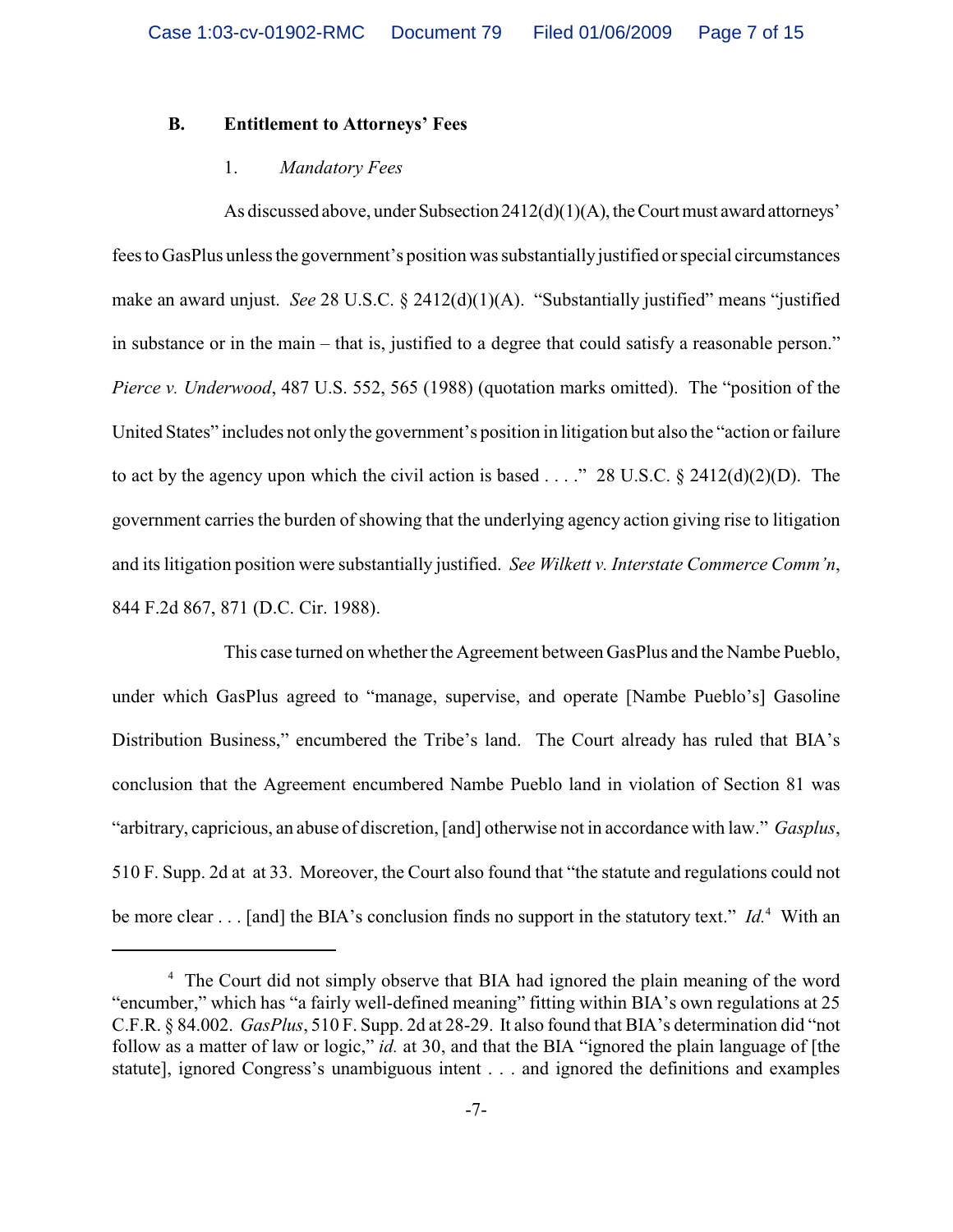## **B. Entitlement to Attorneys' Fees**

### 1. *Mandatory Fees*

As discussed above, under Subsection  $2412(d)(1)(A)$ , the Court must award attorneys' fees to GasPlus unless the government's position was substantially justified or special circumstances make an award unjust. *See* 28 U.S.C. § 2412(d)(1)(A). "Substantially justified" means "justified in substance or in the main – that is, justified to a degree that could satisfy a reasonable person." *Pierce v. Underwood*, 487 U.S. 552, 565 (1988) (quotation marks omitted). The "position of the United States" includes not only the government's position in litigation but also the "action or failure to act by the agency upon which the civil action is based . . . ." 28 U.S.C.  $\S$  2412(d)(2)(D). The government carries the burden of showing that the underlying agency action giving rise to litigation and its litigation position were substantially justified. *See Wilkett v. Interstate Commerce Comm'n*, 844 F.2d 867, 871 (D.C. Cir. 1988).

This case turned on whether the Agreement between GasPlus and the Nambe Pueblo, under which GasPlus agreed to "manage, supervise, and operate [Nambe Pueblo's] Gasoline Distribution Business," encumbered the Tribe's land. The Court already has ruled that BIA's conclusion that the Agreement encumbered Nambe Pueblo land in violation of Section 81 was "arbitrary, capricious, an abuse of discretion, [and] otherwise not in accordance with law." *Gasplus*, 510 F. Supp. 2d at at 33. Moreover, the Court also found that "the statute and regulations could not be more clear . . . [and] the BIA's conclusion finds no support in the statutory text." *Id.*<sup>4</sup> With an

<sup>&</sup>lt;sup>4</sup> The Court did not simply observe that BIA had ignored the plain meaning of the word "encumber," which has "a fairly well-defined meaning" fitting within BIA's own regulations at 25 C.F.R. § 84.002. *GasPlus*, 510 F. Supp. 2d at 28-29. It also found that BIA's determination did "not follow as a matter of law or logic," *id.* at 30, and that the BIA "ignored the plain language of [the statute], ignored Congress's unambiguous intent . . . and ignored the definitions and examples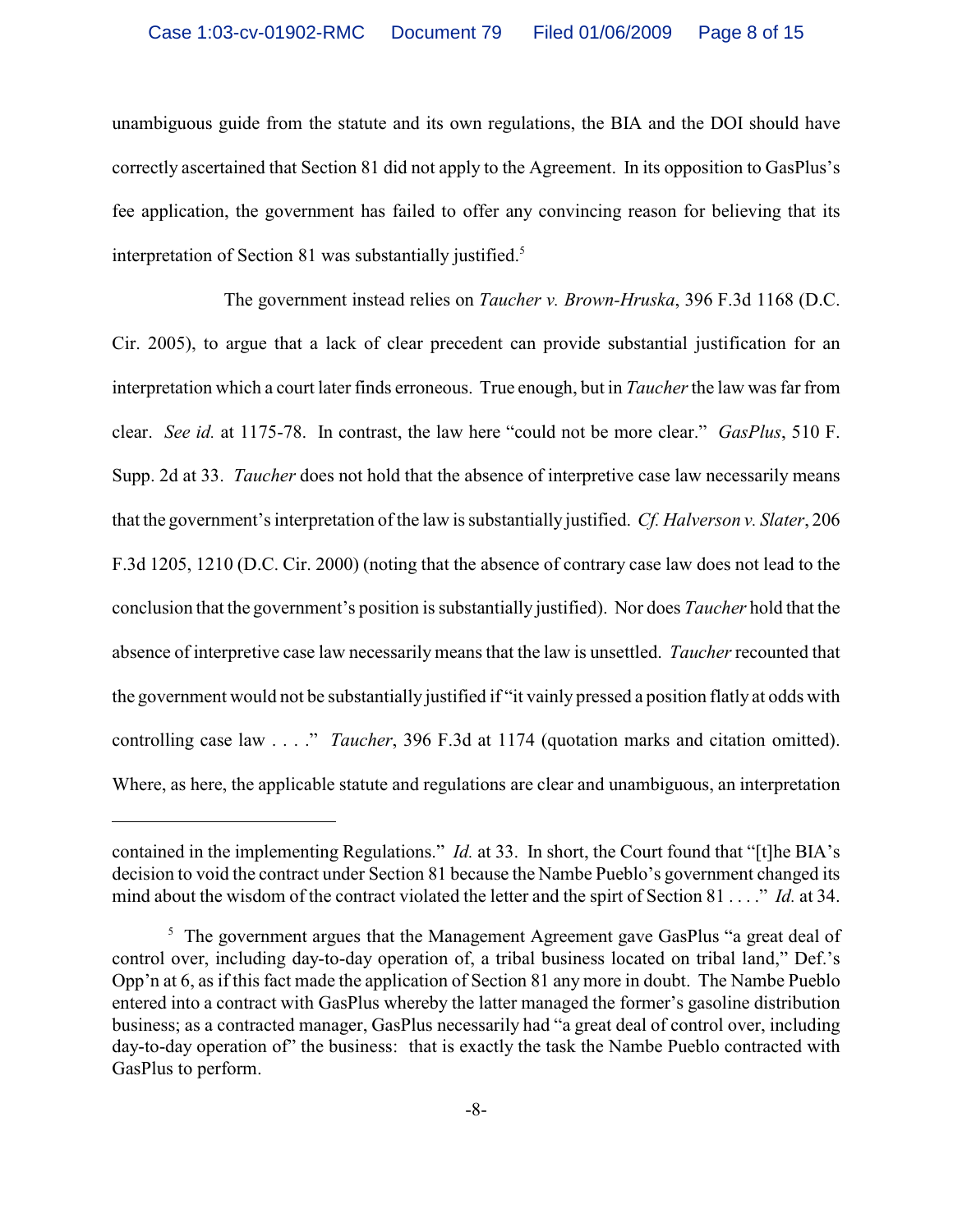unambiguous guide from the statute and its own regulations, the BIA and the DOI should have correctly ascertained that Section 81 did not apply to the Agreement. In its opposition to GasPlus's fee application, the government has failed to offer any convincing reason for believing that its interpretation of Section 81 was substantially justified.<sup>5</sup>

The government instead relies on *Taucher v. Brown-Hruska*, 396 F.3d 1168 (D.C. Cir. 2005), to argue that a lack of clear precedent can provide substantial justification for an interpretation which a court later finds erroneous. True enough, but in *Taucher* the law was far from clear. *See id.* at 1175-78. In contrast, the law here "could not be more clear." *GasPlus*, 510 F. Supp. 2d at 33. *Taucher* does not hold that the absence of interpretive case law necessarily means that the government's interpretation of the law is substantially justified. *Cf. Halverson v. Slater*, 206 F.3d 1205, 1210 (D.C. Cir. 2000) (noting that the absence of contrary case law does not lead to the conclusion that the government's position is substantially justified). Nor does *Taucher* hold that the absence of interpretive case law necessarily means that the law is unsettled. *Taucher* recounted that the government would not be substantially justified if "it vainly pressed a position flatly at odds with controlling case law . . . ." *Taucher*, 396 F.3d at 1174 (quotation marks and citation omitted). Where, as here, the applicable statute and regulations are clear and unambiguous, an interpretation

contained in the implementing Regulations." *Id.* at 33. In short, the Court found that "[t]he BIA's decision to void the contract under Section 81 because the Nambe Pueblo's government changed its mind about the wisdom of the contract violated the letter and the spirt of Section 81 . . . ." *Id.* at 34.

 $\frac{5}{5}$  The government argues that the Management Agreement gave GasPlus "a great deal of control over, including day-to-day operation of, a tribal business located on tribal land," Def.'s Opp'n at 6, as if this fact made the application of Section 81 any more in doubt. The Nambe Pueblo entered into a contract with GasPlus whereby the latter managed the former's gasoline distribution business; as a contracted manager, GasPlus necessarily had "a great deal of control over, including day-to-day operation of" the business: that is exactly the task the Nambe Pueblo contracted with GasPlus to perform.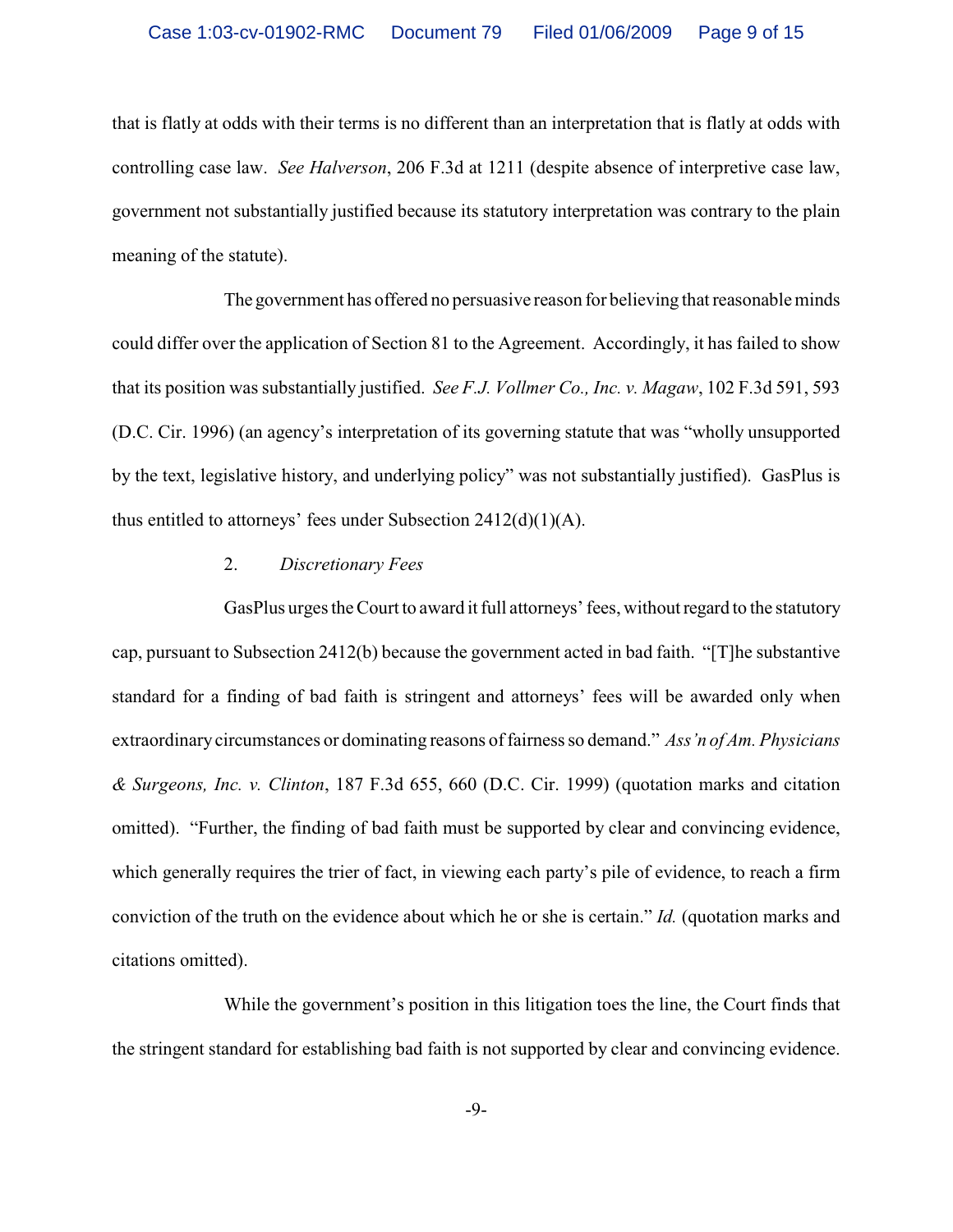that is flatly at odds with their terms is no different than an interpretation that is flatly at odds with controlling case law. *See Halverson*, 206 F.3d at 1211 (despite absence of interpretive case law, government not substantially justified because its statutory interpretation was contrary to the plain meaning of the statute).

The government has offered no persuasive reason for believing that reasonable minds could differ over the application of Section 81 to the Agreement. Accordingly, it has failed to show that its position was substantially justified. *See F.J. Vollmer Co., Inc. v. Magaw*, 102 F.3d 591, 593 (D.C. Cir. 1996) (an agency's interpretation of its governing statute that was "wholly unsupported by the text, legislative history, and underlying policy" was not substantially justified). GasPlus is thus entitled to attorneys' fees under Subsection  $2412(d)(1)(A)$ .

## 2. *Discretionary Fees*

GasPlus urges the Court to award it full attorneys' fees, without regard to the statutory cap, pursuant to Subsection 2412(b) because the government acted in bad faith. "[T]he substantive standard for a finding of bad faith is stringent and attorneys' fees will be awarded only when extraordinary circumstances or dominating reasons of fairness so demand." *Ass'n of Am. Physicians & Surgeons, Inc. v. Clinton*, 187 F.3d 655, 660 (D.C. Cir. 1999) (quotation marks and citation omitted). "Further, the finding of bad faith must be supported by clear and convincing evidence, which generally requires the trier of fact, in viewing each party's pile of evidence, to reach a firm conviction of the truth on the evidence about which he or she is certain." *Id.* (quotation marks and citations omitted).

While the government's position in this litigation toes the line, the Court finds that the stringent standard for establishing bad faith is not supported by clear and convincing evidence.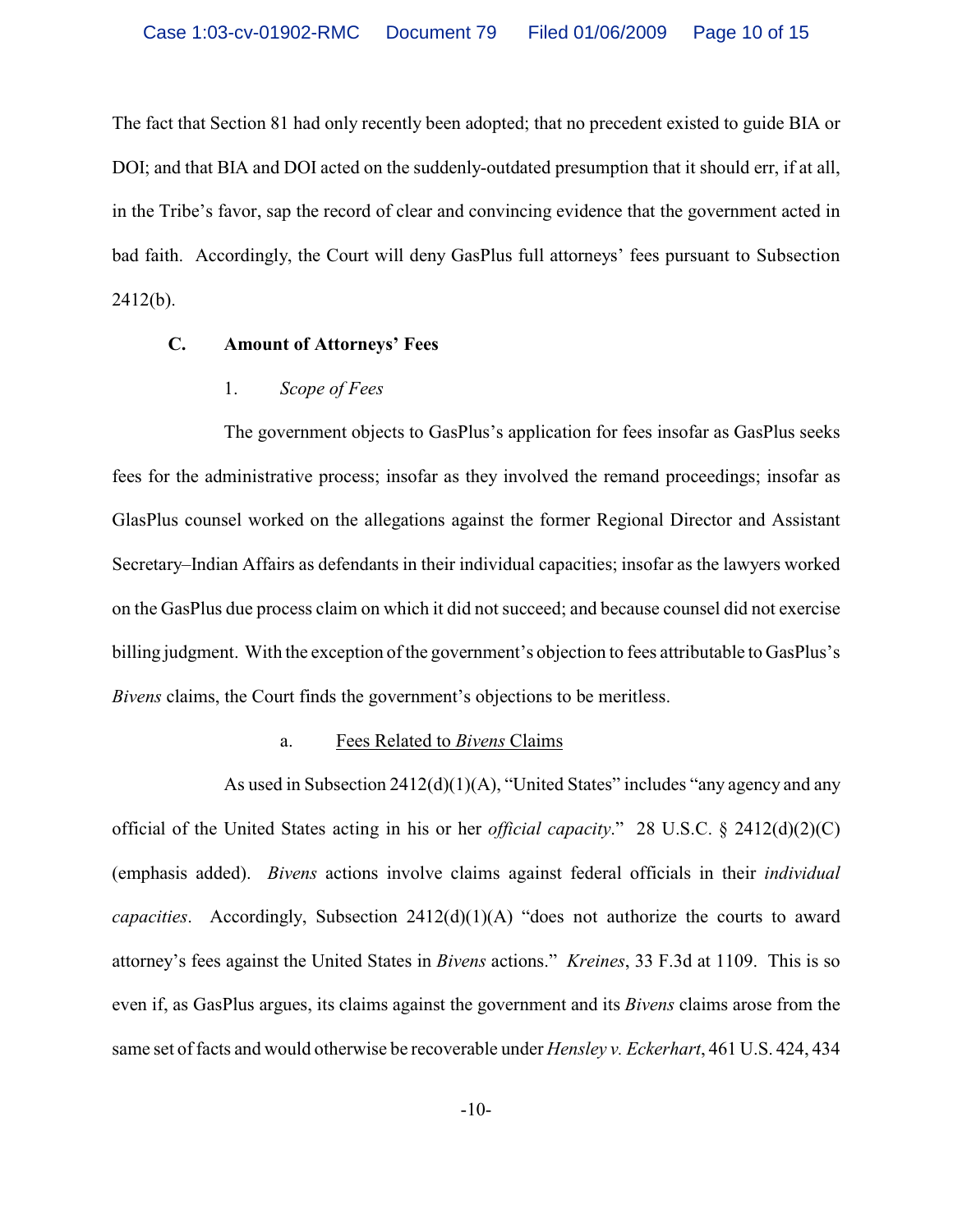The fact that Section 81 had only recently been adopted; that no precedent existed to guide BIA or DOI; and that BIA and DOI acted on the suddenly-outdated presumption that it should err, if at all, in the Tribe's favor, sap the record of clear and convincing evidence that the government acted in bad faith. Accordingly, the Court will deny GasPlus full attorneys' fees pursuant to Subsection 2412(b).

### **C. Amount of Attorneys' Fees**

## 1. *Scope of Fees*

The government objects to GasPlus's application for fees insofar as GasPlus seeks fees for the administrative process; insofar as they involved the remand proceedings; insofar as GlasPlus counsel worked on the allegations against the former Regional Director and Assistant Secretary–Indian Affairs as defendants in their individual capacities; insofar as the lawyers worked on the GasPlus due process claim on which it did not succeed; and because counsel did not exercise billing judgment. With the exception of the government's objection to fees attributable to GasPlus's *Bivens* claims, the Court finds the government's objections to be meritless.

## a. Fees Related to *Bivens* Claims

As used in Subsection 2412(d)(1)(A), "United States" includes "any agency and any official of the United States acting in his or her *official capacity*." 28 U.S.C. § 2412(d)(2)(C) (emphasis added). *Bivens* actions involve claims against federal officials in their *individual capacities*. Accordingly, Subsection 2412(d)(1)(A) "does not authorize the courts to award attorney's fees against the United States in *Bivens* actions." *Kreines*, 33 F.3d at 1109. This is so even if, as GasPlus argues, its claims against the government and its *Bivens* claims arose from the same set of facts and would otherwise be recoverable under *Hensley v. Eckerhart*, 461 U.S. 424, 434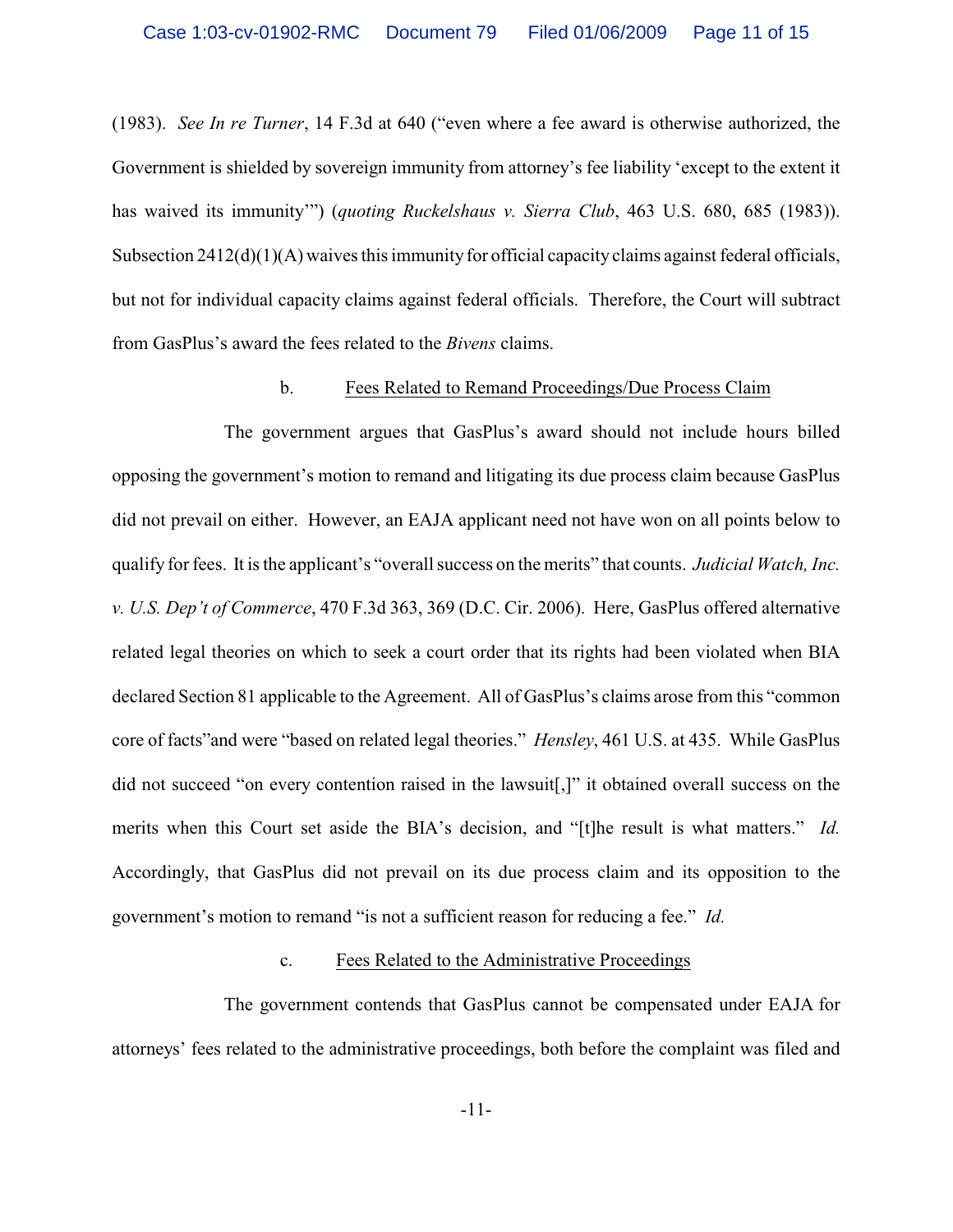(1983). *See In re Turner*, 14 F.3d at 640 ("even where a fee award is otherwise authorized, the Government is shielded by sovereign immunity from attorney's fee liability 'except to the extent it has waived its immunity'") (*quoting Ruckelshaus v. Sierra Club*, 463 U.S. 680, 685 (1983)). Subsection  $2412(d)(1)(A)$  waives this immunity for official capacity claims against federal officials, but not for individual capacity claims against federal officials. Therefore, the Court will subtract from GasPlus's award the fees related to the *Bivens* claims.

### b. Fees Related to Remand Proceedings/Due Process Claim

The government argues that GasPlus's award should not include hours billed opposing the government's motion to remand and litigating its due process claim because GasPlus did not prevail on either. However, an EAJA applicant need not have won on all points below to qualify for fees. It is the applicant's "overall success on the merits" that counts. *Judicial Watch, Inc. v. U.S. Dep't of Commerce*, 470 F.3d 363, 369 (D.C. Cir. 2006). Here, GasPlus offered alternative related legal theories on which to seek a court order that its rights had been violated when BIA declared Section 81 applicable to the Agreement. All of GasPlus's claims arose from this "common core of facts"and were "based on related legal theories." *Hensley*, 461 U.S. at 435. While GasPlus did not succeed "on every contention raised in the lawsuit[,]" it obtained overall success on the merits when this Court set aside the BIA's decision, and "[t]he result is what matters." *Id.* Accordingly, that GasPlus did not prevail on its due process claim and its opposition to the government's motion to remand "is not a sufficient reason for reducing a fee." *Id.*

#### c. Fees Related to the Administrative Proceedings

The government contends that GasPlus cannot be compensated under EAJA for attorneys' fees related to the administrative proceedings, both before the complaint was filed and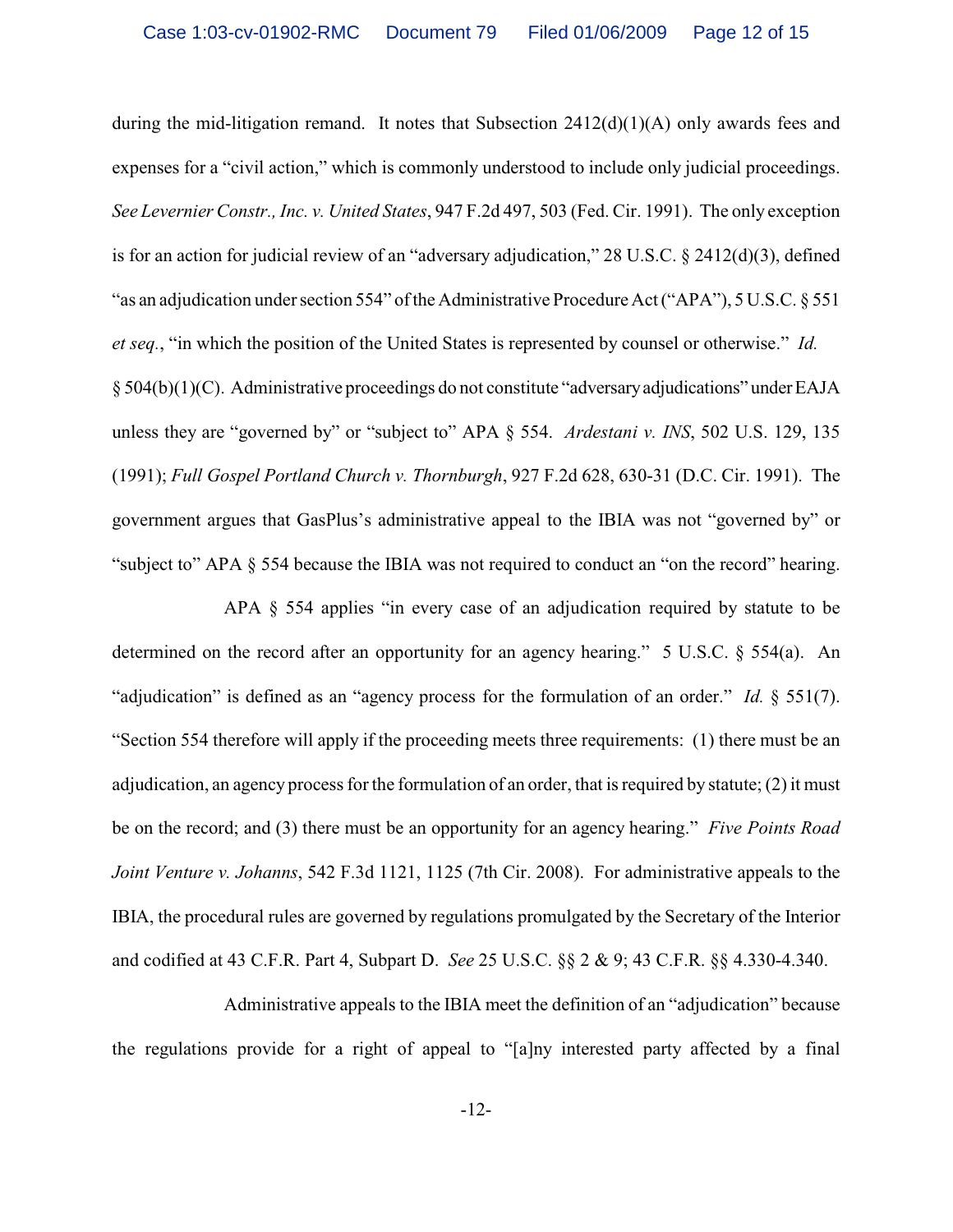during the mid-litigation remand. It notes that Subsection  $2412(d)(1)(A)$  only awards fees and expenses for a "civil action," which is commonly understood to include only judicial proceedings. *See Levernier Constr., Inc. v. United States*, 947 F.2d 497, 503 (Fed. Cir. 1991). The only exception is for an action for judicial review of an "adversary adjudication," 28 U.S.C. § 2412(d)(3), defined "as an adjudication under section 554" of the Administrative Procedure Act ("APA"), 5 U.S.C. § 551 *et seq.*, "in which the position of the United States is represented by counsel or otherwise." *Id.*  § 504(b)(1)(C). Administrative proceedings do not constitute "adversary adjudications" under EAJA unless they are "governed by" or "subject to" APA § 554. *Ardestani v. INS*, 502 U.S. 129, 135 (1991); *Full Gospel Portland Church v. Thornburgh*, 927 F.2d 628, 630-31 (D.C. Cir. 1991). The government argues that GasPlus's administrative appeal to the IBIA was not "governed by" or "subject to" APA § 554 because the IBIA was not required to conduct an "on the record" hearing.

APA § 554 applies "in every case of an adjudication required by statute to be determined on the record after an opportunity for an agency hearing." 5 U.S.C. § 554(a). An "adjudication" is defined as an "agency process for the formulation of an order." *Id.* § 551(7). "Section 554 therefore will apply if the proceeding meets three requirements: (1) there must be an adjudication, an agency process for the formulation of an order, that is required by statute; (2) it must be on the record; and (3) there must be an opportunity for an agency hearing." *Five Points Road Joint Venture v. Johanns*, 542 F.3d 1121, 1125 (7th Cir. 2008). For administrative appeals to the IBIA, the procedural rules are governed by regulations promulgated by the Secretary of the Interior and codified at 43 C.F.R. Part 4, Subpart D. *See* 25 U.S.C. §§ 2 & 9; 43 C.F.R. §§ 4.330-4.340.

Administrative appeals to the IBIA meet the definition of an "adjudication" because the regulations provide for a right of appeal to "[a]ny interested party affected by a final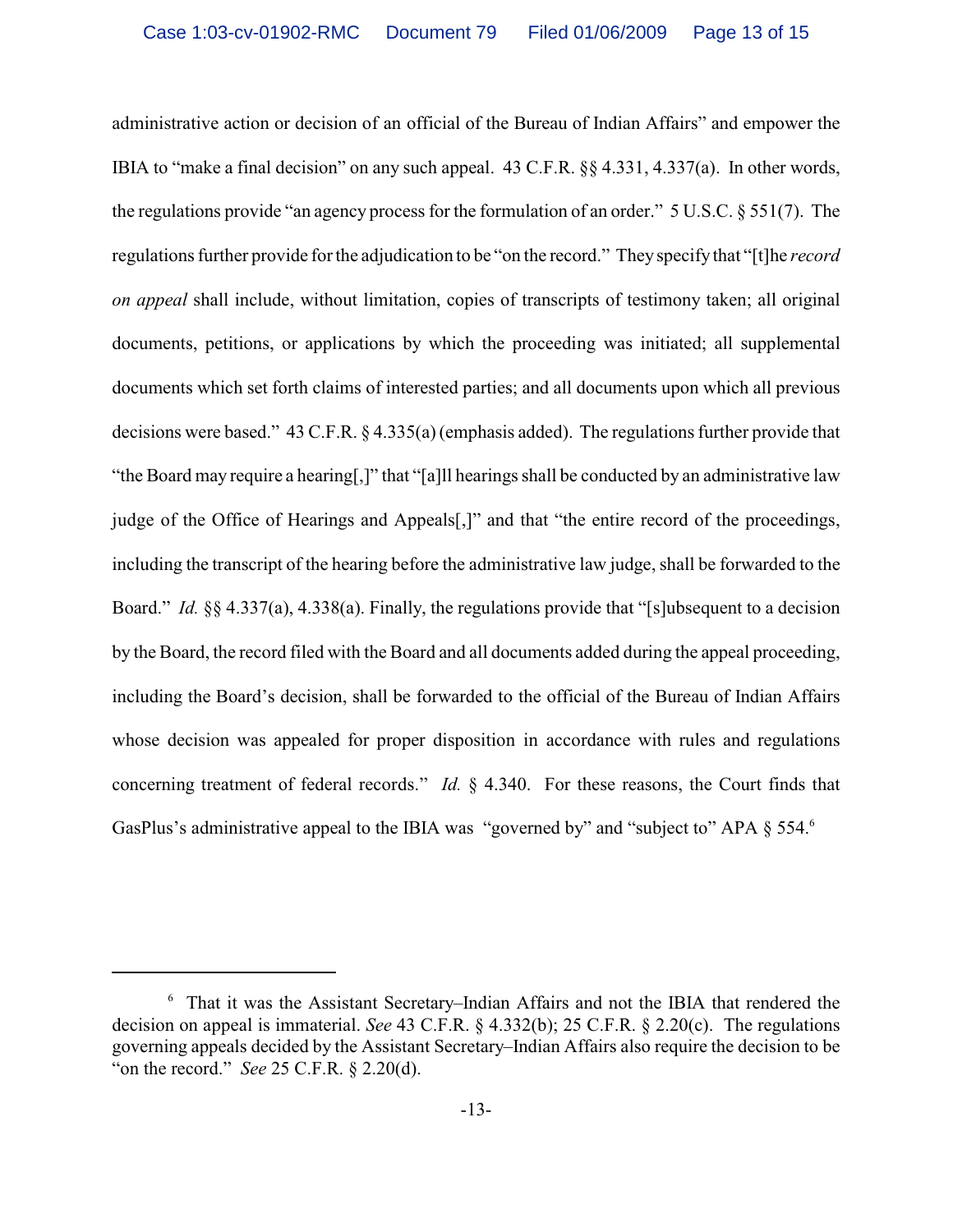administrative action or decision of an official of the Bureau of Indian Affairs" and empower the IBIA to "make a final decision" on any such appeal. 43 C.F.R. §§ 4.331, 4.337(a). In other words, the regulations provide "an agency process for the formulation of an order." 5 U.S.C. § 551(7). The regulations further provide for the adjudication to be "on the record." They specify that "[t]he *record on appeal* shall include, without limitation, copies of transcripts of testimony taken; all original documents, petitions, or applications by which the proceeding was initiated; all supplemental documents which set forth claims of interested parties; and all documents upon which all previous decisions were based." 43 C.F.R. § 4.335(a)(emphasis added). The regulations further provide that "the Board may require a hearing[,]" that "[a]ll hearings shall be conducted by an administrative law judge of the Office of Hearings and Appeals[,]" and that "the entire record of the proceedings, including the transcript of the hearing before the administrative law judge, shall be forwarded to the Board." *Id.* §§ 4.337(a), 4.338(a). Finally, the regulations provide that "[s]ubsequent to a decision by the Board, the record filed with the Board and all documents added during the appeal proceeding, including the Board's decision, shall be forwarded to the official of the Bureau of Indian Affairs whose decision was appealed for proper disposition in accordance with rules and regulations concerning treatment of federal records." *Id.* § 4.340. For these reasons, the Court finds that GasPlus's administrative appeal to the IBIA was "governed by" and "subject to" APA § 554.<sup>6</sup>

<sup>&</sup>lt;sup>6</sup> That it was the Assistant Secretary–Indian Affairs and not the IBIA that rendered the decision on appeal is immaterial. *See* 43 C.F.R. § 4.332(b); 25 C.F.R. § 2.20(c). The regulations governing appeals decided by the Assistant Secretary–Indian Affairs also require the decision to be "on the record." *See* 25 C.F.R. § 2.20(d).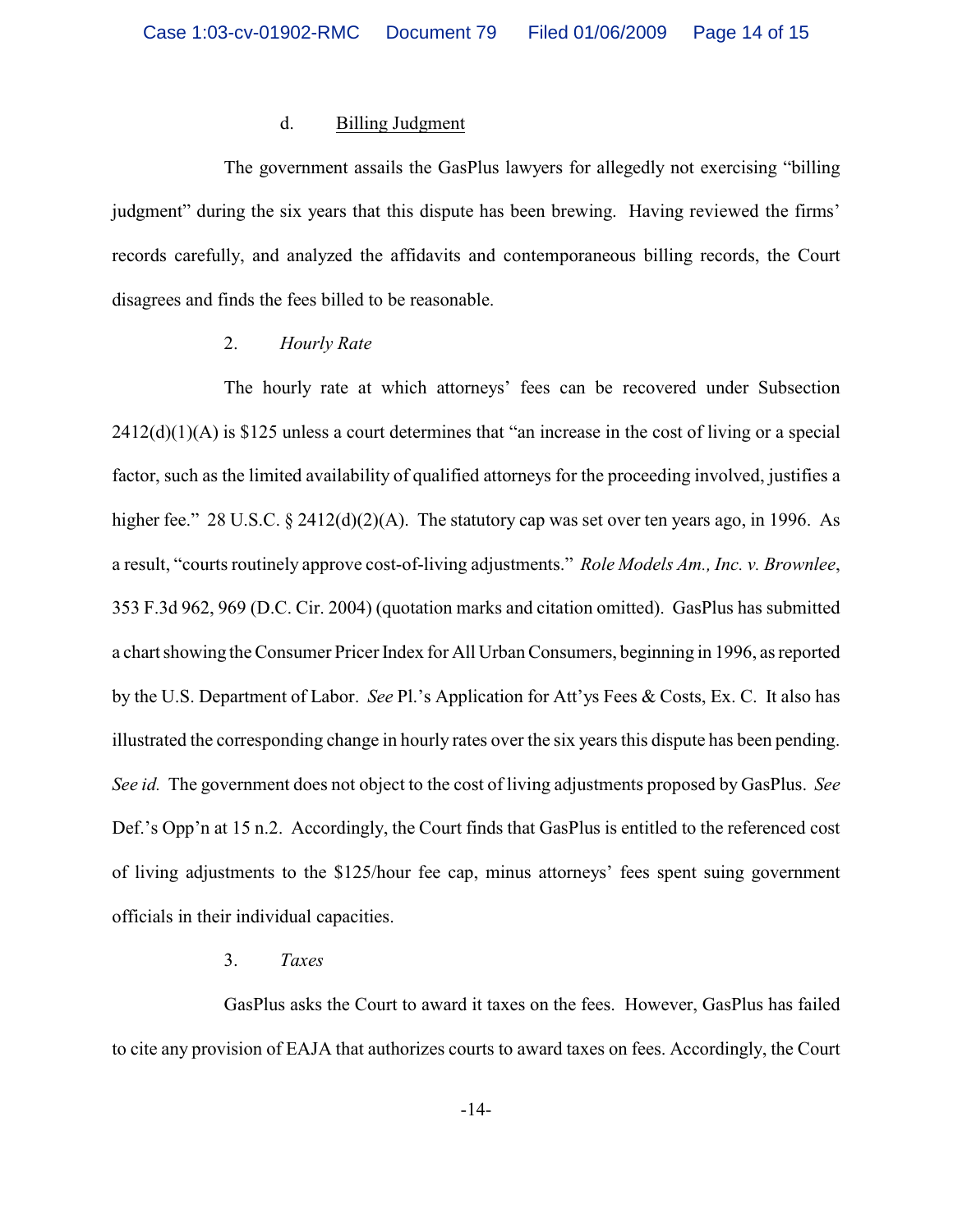#### d. Billing Judgment

The government assails the GasPlus lawyers for allegedly not exercising "billing judgment" during the six years that this dispute has been brewing. Having reviewed the firms' records carefully, and analyzed the affidavits and contemporaneous billing records, the Court disagrees and finds the fees billed to be reasonable.

### 2. *Hourly Rate*

The hourly rate at which attorneys' fees can be recovered under Subsection 2412(d)(1)(A) is \$125 unless a court determines that "an increase in the cost of living or a special factor, such as the limited availability of qualified attorneys for the proceeding involved, justifies a higher fee." 28 U.S.C. § 2412(d)(2)(A). The statutory cap was set over ten years ago, in 1996. As a result, "courts routinely approve cost-of-living adjustments." *Role Models Am., Inc. v. Brownlee*, 353 F.3d 962, 969 (D.C. Cir. 2004) (quotation marks and citation omitted). GasPlus has submitted a chart showing the Consumer Pricer Index for All Urban Consumers, beginning in 1996, as reported by the U.S. Department of Labor. *See* Pl.'s Application for Att'ys Fees & Costs, Ex. C. It also has illustrated the corresponding change in hourly rates over the six years this dispute has been pending. *See id.* The government does not object to the cost of living adjustments proposed by GasPlus. *See* Def.'s Opp'n at 15 n.2. Accordingly, the Court finds that GasPlus is entitled to the referenced cost of living adjustments to the \$125/hour fee cap, minus attorneys' fees spent suing government officials in their individual capacities.

#### 3. *Taxes*

GasPlus asks the Court to award it taxes on the fees. However, GasPlus has failed to cite any provision of EAJA that authorizes courts to award taxes on fees. Accordingly, the Court